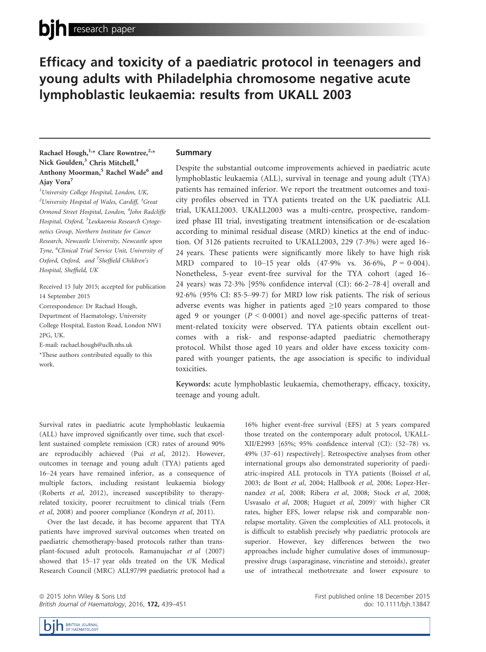# Efficacy and toxicity of a paediatric protocol in teenagers and young adults with Philadelphia chromosome negative acute lymphoblastic leukaemia: results from UKALL 2003

# Rachael Hough,<sup>1,\*</sup> Clare Rowntree,<sup>2,\*</sup> Nick Goulden,<sup>3</sup> Chris Mitchell,<sup>4</sup> Anthony Moorman,<sup>5</sup> Rachel Wade<sup>6</sup> and Ajay Vora<sup>7</sup>

<sup>1</sup>University College Hospital, London, UK,  $^{2}$ University Hospital of Wales, Cardiff,  $^{3}$ Great Ormond Street Hospital, London, <sup>4</sup>John Radcliffe Hospital, Oxford, <sup>5</sup>Leukaemia Research Cytogenetics Group, Northern Institute for Cancer Research, Newcastle University, Newcastle upon Tyne, <sup>6</sup>Clinical Trial Service Unit, University of Oxford, Oxford, and <sup>7</sup>Sheffield Children's Hospital, Sheffield, UK

Received 15 July 2015; accepted for publication 14 September 2015

Correspondence: Dr Rachael Hough,

Department of Haematology, University College Hospital, Euston Road, London NW1 2PG, UK.

E-mail: rachael.hough@uclh.nhs.uk \*These authors contributed equally to this work.

# Summary

Despite the substantial outcome improvements achieved in paediatric acute lymphoblastic leukaemia (ALL), survival in teenage and young adult (TYA) patients has remained inferior. We report the treatment outcomes and toxicity profiles observed in TYA patients treated on the UK paediatric ALL trial, UKALL2003. UKALL2003 was a multi-centre, prospective, randomized phase III trial, investigating treatment intensification or de-escalation according to minimal residual disease (MRD) kinetics at the end of induction. Of 3126 patients recruited to UKALL2003, 229 (73%) were aged 16– 24 years. These patients were significantly more likely to have high risk MRD compared to 10–15 year olds  $(47.9\% \text{ vs. } 36.6\%, P = 0.004)$ . Nonetheless, 5-year event-free survival for the TYA cohort (aged 16– 24 years) was 723% [95% confidence interval (CI): 662–784] overall and 926% (95% CI: 855–997) for MRD low risk patients. The risk of serious adverse events was higher in patients aged  $\geq 10$  years compared to those aged 9 or younger ( $P < 0.0001$ ) and novel age-specific patterns of treatment-related toxicity were observed. TYA patients obtain excellent outcomes with a risk- and response-adapted paediatric chemotherapy protocol. Whilst those aged 10 years and older have excess toxicity compared with younger patients, the age association is specific to individual toxicities.

Keywords: acute lymphoblastic leukaemia, chemotherapy, efficacy, toxicity, teenage and young adult.

Survival rates in paediatric acute lymphoblastic leukaemia (ALL) have improved significantly over time, such that excellent sustained complete remission (CR) rates of around 90% are reproducibly achieved (Pui et al, 2012). However, outcomes in teenage and young adult (TYA) patients aged 16–24 years have remained inferior, as a consequence of multiple factors, including resistant leukaemia biology (Roberts et al, 2012), increased susceptibility to therapyrelated toxicity, poorer recruitment to clinical trials (Fern et al, 2008) and poorer compliance (Kondryn et al, 2011).

Over the last decade, it has become apparent that TYA patients have improved survival outcomes when treated on paediatric chemotherapy-based protocols rather than transplant-focused adult protocols. Ramanujachar et al (2007) showed that 15–17 year olds treated on the UK Medical Research Council (MRC) ALL97/99 paediatric protocol had a

ª 2015 John Wiley & Sons Ltd British Journal of Haematology, 2016, 172, 439-451 16% higher event-free survival (EFS) at 5 years compared those treated on the contemporary adult protocol, UKALL-XII/E2993 [65%; 95% confidence interval (CI): (52–78) vs. 49% (37–61) respectively]. Retrospective analyses from other international groups also demonstrated superiority of paediatric-inspired ALL protocols in TYA patients (Boissel et al, 2003; de Bont et al, 2004; Hallbook et al, 2006; Lopez-Hernandez et al, 2008; Ribera et al, 2008; Stock et al, 2008; Usvasalo et al, 2008; Huguet et al, 2009)' with higher CR rates, higher EFS, lower relapse risk and comparable nonrelapse mortality. Given the complexities of ALL protocols, it is difficult to establish precisely why paediatric protocols are superior. However, key differences between the two approaches include higher cumulative doses of immunosuppressive drugs (asparaginase, vincristine and steroids), greater use of intrathecal methotrexate and lower exposure to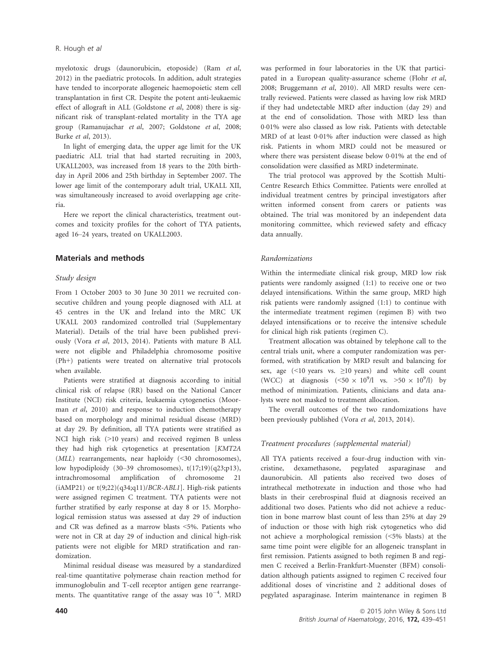myelotoxic drugs (daunorubicin, etoposide) (Ram et al, 2012) in the paediatric protocols. In addition, adult strategies have tended to incorporate allogeneic haemopoietic stem cell transplantation in first CR. Despite the potent anti-leukaemic effect of allograft in ALL (Goldstone et al, 2008) there is significant risk of transplant-related mortality in the TYA age group (Ramanujachar et al, 2007; Goldstone et al, 2008; Burke et al, 2013).

In light of emerging data, the upper age limit for the UK paediatric ALL trial that had started recruiting in 2003, UKALL2003, was increased from 18 years to the 20th birthday in April 2006 and 25th birthday in September 2007. The lower age limit of the contemporary adult trial, UKALL XII, was simultaneously increased to avoid overlapping age criteria.

Here we report the clinical characteristics, treatment outcomes and toxicity profiles for the cohort of TYA patients, aged 16–24 years, treated on UKALL2003.

# Materials and methods

## Study design

From 1 October 2003 to 30 June 30 2011 we recruited consecutive children and young people diagnosed with ALL at 45 centres in the UK and Ireland into the MRC UK UKALL 2003 randomized controlled trial (Supplementary Material). Details of the trial have been published previously (Vora et al, 2013, 2014). Patients with mature B ALL were not eligible and Philadelphia chromosome positive (Ph+) patients were treated on alternative trial protocols when available.

Patients were stratified at diagnosis according to initial clinical risk of relapse (RR) based on the National Cancer Institute (NCI) risk criteria, leukaemia cytogenetics (Moorman et al, 2010) and response to induction chemotherapy based on morphology and minimal residual disease (MRD) at day 29. By definition, all TYA patients were stratified as NCI high risk (>10 years) and received regimen B unless they had high risk cytogenetics at presentation [KMT2A (MLL) rearrangements, near haploidy (<30 chromosomes), low hypodiploidy  $(30-39 \text{ chromosomes})$ ,  $t(17;19)(q23;p13)$ , intrachromosomal amplification of chromosome 21 (iAMP21) or  $t(9;22)(q34;q11)/BCR-ABLI$ ]. High-risk patients were assigned regimen C treatment. TYA patients were not further stratified by early response at day 8 or 15. Morphological remission status was assessed at day 29 of induction and CR was defined as a marrow blasts <5%. Patients who were not in CR at day 29 of induction and clinical high-risk patients were not eligible for MRD stratification and randomization.

Minimal residual disease was measured by a standardized real-time quantitative polymerase chain reaction method for immunoglobulin and T-cell receptor antigen gene rearrangements. The quantitative range of the assay was  $10^{-4}$ . MRD

was performed in four laboratories in the UK that participated in a European quality-assurance scheme (Flohr et al, 2008; Bruggemann et al, 2010). All MRD results were centrally reviewed. Patients were classed as having low risk MRD if they had undetectable MRD after induction (day 29) and at the end of consolidation. Those with MRD less than 0.01% were also classed as low risk. Patients with detectable MRD of at least  $0.01\%$  after induction were classed as high risk. Patients in whom MRD could not be measured or where there was persistent disease below  $0.01\%$  at the end of consolidation were classified as MRD indeterminate.

The trial protocol was approved by the Scottish Multi-Centre Research Ethics Committee. Patients were enrolled at individual treatment centres by principal investigators after written informed consent from carers or patients was obtained. The trial was monitored by an independent data monitoring committee, which reviewed safety and efficacy data annually.

## Randomizations

Within the intermediate clinical risk group, MRD low risk patients were randomly assigned (1:1) to receive one or two delayed intensifications. Within the same group, MRD high risk patients were randomly assigned (1:1) to continue with the intermediate treatment regimen (regimen B) with two delayed intensifications or to receive the intensive schedule for clinical high risk patients (regimen C).

Treatment allocation was obtained by telephone call to the central trials unit, where a computer randomization was performed, with stratification by MRD result and balancing for sex, age  $($ <10 years vs.  $\geq$ 10 years) and white cell count (WCC) at diagnosis  $(<50 \times 10^9/l$  vs.  $>50 \times 10^9/l$ ) by method of minimization. Patients, clinicians and data analysts were not masked to treatment allocation.

The overall outcomes of the two randomizations have been previously published (Vora et al, 2013, 2014).

# Treatment procedures (supplemental material)

All TYA patients received a four-drug induction with vincristine, dexamethasone, pegylated asparaginase and daunorubicin. All patients also received two doses of intrathecal methotrexate in induction and those who had blasts in their cerebrospinal fluid at diagnosis received an additional two doses. Patients who did not achieve a reduction in bone marrow blast count of less than 25% at day 29 of induction or those with high risk cytogenetics who did not achieve a morphological remission (<5% blasts) at the same time point were eligible for an allogeneic transplant in first remission. Patients assigned to both regimen B and regimen C received a Berlin-Frankfurt-Muenster (BFM) consolidation although patients assigned to regimen C received four additional doses of vincristine and 2 additional doses of pegylated asparaginase. Interim maintenance in regimen B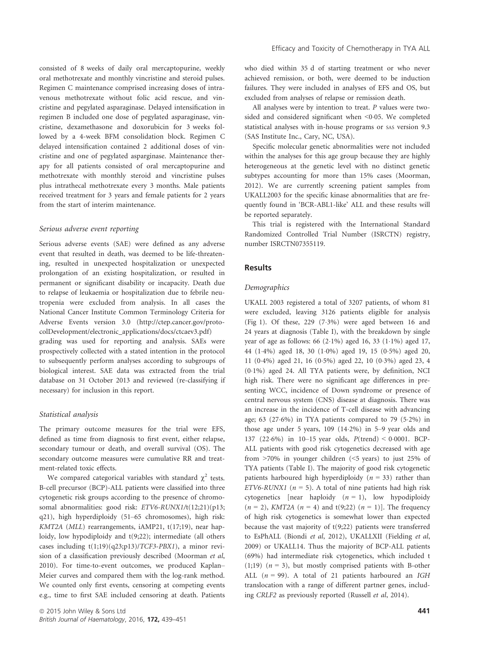consisted of 8 weeks of daily oral mercaptopurine, weekly oral methotrexate and monthly vincristine and steroid pulses. Regimen C maintenance comprised increasing doses of intravenous methotrexate without folic acid rescue, and vincristine and pegylated asparaginase. Delayed intensification in regimen B included one dose of pegylated asparaginase, vincristine, dexamethasone and doxorubicin for 3 weeks followed by a 4-week BFM consolidation block. Regimen C delayed intensification contained 2 additional doses of vincristine and one of pegylated asparginase. Maintenance therapy for all patients consisted of oral mercaptopurine and methotrexate with monthly steroid and vincristine pulses plus intrathecal methotrexate every 3 months. Male patients received treatment for 3 years and female patients for 2 years from the start of interim maintenance.

#### Serious adverse event reporting

Serious adverse events (SAE) were defined as any adverse event that resulted in death, was deemed to be life-threatening, resulted in unexpected hospitalization or unexpected prolongation of an existing hospitalization, or resulted in permanent or significant disability or incapacity. Death due to relapse of leukaemia or hospitalization due to febrile neutropenia were excluded from analysis. In all cases the National Cancer Institute Common Terminology Criteria for Adverse Events version 3.0 ([http://ctep.cancer.gov/proto](http://ctep.cancer.gov/protocolDevelopment/electronic_applications/docs/ctcaev3.pdf)[colDevelopment/electronic\\_applications/docs/ctcaev3.pdf](http://ctep.cancer.gov/protocolDevelopment/electronic_applications/docs/ctcaev3.pdf)) grading was used for reporting and analysis. SAEs were prospectively collected with a stated intention in the protocol to subsequently perform analyses according to subgroups of biological interest. SAE data was extracted from the trial database on 31 October 2013 and reviewed (re-classifying if necessary) for inclusion in this report.

## Statistical analysis

The primary outcome measures for the trial were EFS, defined as time from diagnosis to first event, either relapse, secondary tumour or death, and overall survival (OS). The secondary outcome measures were cumulative RR and treatment-related toxic effects.

We compared categorical variables with standard  $\chi^2$  tests. B-cell precursor (BCP)-ALL patients were classified into three cytogenetic risk groups according to the presence of chromosomal abnormalities: good risk: ETV6-RUNX1/t(12;21)(p13; q21), high hyperdiploidy (51–65 chromosomes), high risk: KMT2A (MLL) rearrangements, iAMP21, t(17;19), near haploidy, low hypodiploidy and t(9;22); intermediate (all others cases including t(1;19)(q23;p13)/TCF3-PBX1), a minor revision of a classification previously described (Moorman et al, 2010). For time-to-event outcomes, we produced Kaplan– Meier curves and compared them with the log-rank method. We counted only first events, censoring at competing events e.g., time to first SAE included censoring at death. Patients who died within 35 d of starting treatment or who never achieved remission, or both, were deemed to be induction failures. They were included in analyses of EFS and OS, but excluded from analyses of relapse or remission death.

All analyses were by intention to treat. P values were twosided and considered significant when  $\leq 0.05$ . We completed statistical analyses with in-house programs or SAS version 9.3 (SAS Institute Inc., Cary, NC, USA).

Specific molecular genetic abnormalities were not included within the analyses for this age group because they are highly heterogeneous at the genetic level with no distinct genetic subtypes accounting for more than 15% cases (Moorman, 2012). We are currently screening patient samples from UKALL2003 for the specific kinase abnormalities that are frequently found in 'BCR-ABL1-like' ALL and these results will be reported separately.

This trial is registered with the International Standard Randomized Controlled Trial Number (ISRCTN) registry, number ISRCTN07355119.

# Results

#### Demographics

UKALL 2003 registered a total of 3207 patients, of whom 81 were excluded, leaving 3126 patients eligible for analysis (Fig 1). Of these, 229 (73%) were aged between 16 and 24 years at diagnosis (Table I), with the breakdown by single year of age as follows: 66 (21%) aged 16, 33 (11%) aged 17, 44 (14%) aged 18, 30 (10%) aged 19, 15 (05%) aged 20, 11 (04%) aged 21, 16 (05%) aged 22, 10 (03%) aged 23, 4 (01%) aged 24. All TYA patients were, by definition, NCI high risk. There were no significant age differences in presenting WCC, incidence of Down syndrome or presence of central nervous system (CNS) disease at diagnosis. There was an increase in the incidence of T-cell disease with advancing age; 63 (276%) in TYA patients compared to 79 (52%) in those age under 5 years, 109 (142%) in 5–9 year olds and 137 (22.6%) in 10–15 year olds,  $P(\text{trend}) < 0.0001$ . BCP-ALL patients with good risk cytogenetics decreased with age from >70% in younger children (<5 years) to just 25% of TYA patients (Table I). The majority of good risk cytogenetic patients harboured high hyperdiploidy ( $n = 33$ ) rather than ETV6-RUNX1 ( $n = 5$ ). A total of nine patients had high risk cytogenetics [near haploidy  $(n = 1)$ , low hypodiploidy  $(n = 2)$ , KMT2A  $(n = 4)$  and t(9;22)  $(n = 1)$ ]. The frequency of high risk cytogenetics is somewhat lower than expected because the vast majority of t(9;22) patients were transferred to EsPhALL (Biondi et al, 2012), UKALLXII (Fielding et al, 2009) or UKALL14. Thus the majority of BCP-ALL patients (69%) had intermediate risk cytogenetics, which included t (1;19)  $(n = 3)$ , but mostly comprised patients with B-other ALL  $(n = 99)$ . A total of 21 patients harboured an IGH translocation with a range of different partner genes, including CRLF2 as previously reported (Russell et al, 2014).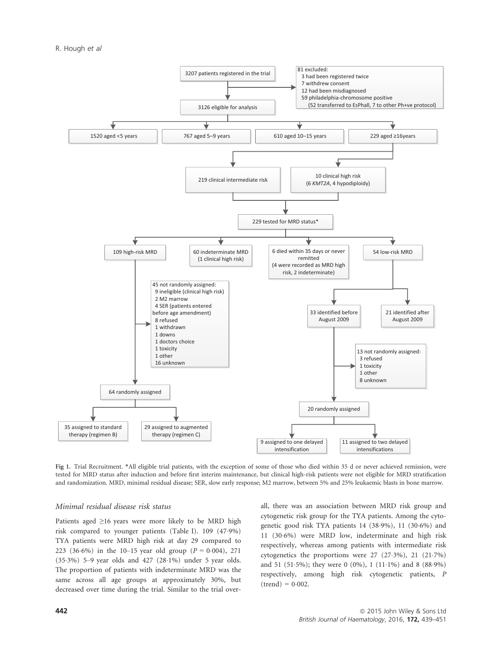

Fig 1. Trial Recruitment. \*All eligible trial patients, with the exception of some of those who died within 35 d or never achieved remission, were tested for MRD status after induction and before first interim maintenance, but clinical high-risk patients were not eligible for MRD stratification and randomization. MRD, minimal residual disease; SER, slow early response; M2 marrow, between 5% and 25% leukaemic blasts in bone marrow.

# Minimal residual disease risk status

Patients aged ≥16 years were more likely to be MRD high risk compared to younger patients (Table I). 109 (479%) TYA patients were MRD high risk at day 29 compared to 223 (36.6%) in the 10–15 year old group ( $P = 0.004$ ), 271 (353%) 5–9 year olds and 427 (281%) under 5 year olds. The proportion of patients with indeterminate MRD was the same across all age groups at approximately 30%, but decreased over time during the trial. Similar to the trial overall, there was an association between MRD risk group and cytogenetic risk group for the TYA patients. Among the cytogenetic good risk TYA patients 14 (38.9%), 11 (30.6%) and 11 (306%) were MRD low, indeterminate and high risk respectively, whereas among patients with intermediate risk cytogenetics the proportions were 27 (273%), 21 (217%) and 51 (515%); they were 0 (0%), 1 (111%) and 8 (889%) respectively, among high risk cytogenetic patients, P  $(trend) = 0.002$ .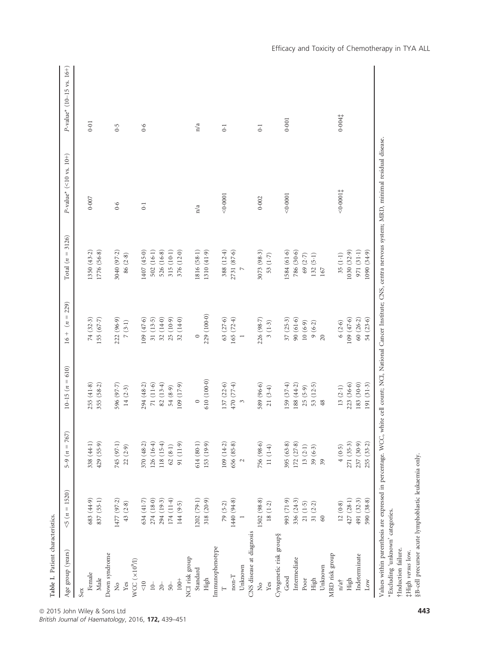| Table I. Patient characteristics.                     |                                          |                                |                            |                                                        |                                     |                                                                                                                                                                          |                          |
|-------------------------------------------------------|------------------------------------------|--------------------------------|----------------------------|--------------------------------------------------------|-------------------------------------|--------------------------------------------------------------------------------------------------------------------------------------------------------------------------|--------------------------|
| Age group (years)                                     | 1520)<br>$\parallel$<br>$\tilde{u}$<br>Ŷ | $= 767$<br>$\epsilon$<br>$5-9$ | 610)<br>$\ $<br>$10-15(n)$ | 229)<br>$\lvert \rvert$<br>$\tilde{u}$<br>$^{+}$<br>16 | 3126)<br>$\parallel$<br>Total $(n)$ | $P-value^*$ (<10 vs. 10+)                                                                                                                                                | P-value* (10-15 vs. 16+) |
| Sex                                                   |                                          |                                |                            |                                                        |                                     |                                                                                                                                                                          |                          |
| Female                                                | 683 (44.9)                               | 338 (44.1)                     | 255 (41.8)                 | 74 (32.3)                                              | 1350 (43.2)                         | 0.007                                                                                                                                                                    | 0.01                     |
| Male                                                  | 837 (55-1)                               | 429 (55.9)                     | 355 (58.2)                 | 155(67.7)                                              | 1776 (56.8)                         |                                                                                                                                                                          |                          |
| Down syndrome                                         |                                          |                                |                            |                                                        |                                     |                                                                                                                                                                          |                          |
| $\tilde{X}$                                           | 1477 (97.2)                              | 745 (97.1)                     | 596 (97-7)                 | 222 (96.9)                                             | 3040 (97.2)                         | 0.6                                                                                                                                                                      | 0.5                      |
| Yes                                                   | 43(2.8)                                  | 22(2.9)                        | 14 $(2.3)$                 | $7(3.1)$                                               | 86 (2.8)                            |                                                                                                                                                                          |                          |
| WCC $(\times 10^9/l)$                                 |                                          |                                |                            |                                                        |                                     |                                                                                                                                                                          |                          |
| $\leq 10$                                             | 634 (41.7)                               | 370 (48.2)                     | 294 (48.2)                 | 109 (47.6)                                             | 1407 (45.0)                         | $\overline{0}$ : 0                                                                                                                                                       | 0.6                      |
| $10-$                                                 | 274 (18.0)                               | 126(16.4)                      | 71(11.6)                   | 31(13.5)                                               | 502 (16.1)                          |                                                                                                                                                                          |                          |
| $20-$                                                 | 294 (19.3)                               | 118 (15-4)                     | 82(13.4)                   | 32(14.0)                                               | 526 (16.8)                          |                                                                                                                                                                          |                          |
| $50-$                                                 | 174 (11.4)                               | 62(8.1)                        | 54 (8.9)                   | 25(10.9)                                               | 315 (10.1)                          |                                                                                                                                                                          |                          |
| $100+$                                                | 144 (9.5)                                | 91 (11.9)                      | 109 (17.9)                 | 32(14.0)                                               | 376 (12.0)                          |                                                                                                                                                                          |                          |
| NCI risk group                                        |                                          |                                |                            |                                                        |                                     |                                                                                                                                                                          |                          |
| Standard                                              | 1202 (79.1)                              | 614(80.1)                      | $\circ$                    | $\circ$                                                | 1816 (58.1)                         | n/a                                                                                                                                                                      | n/a                      |
| High                                                  | 318 (20.9)                               | 153 (19.9)                     | 610(100.0)                 | 229 (100.0)                                            | 1310 (41.9)                         |                                                                                                                                                                          |                          |
| Immunophenotype                                       |                                          |                                |                            |                                                        |                                     |                                                                                                                                                                          |                          |
|                                                       | 79(5.2)                                  | 109(14.2)                      | 137 (22.6)                 | 63(27.6)                                               | 388 (12.4)                          | <0.0001                                                                                                                                                                  | $\overline{0}$           |
| $\text{non-T}$                                        | 1440 (94.8)                              | 656 (85-8)                     | 470 (77.4)                 | 165(72.4)                                              | 2731 (87.6)                         |                                                                                                                                                                          |                          |
| Unknown                                               |                                          | $\mathcal{L}$                  |                            |                                                        |                                     |                                                                                                                                                                          |                          |
| CNS disease at diagnosis                              |                                          |                                |                            |                                                        |                                     |                                                                                                                                                                          |                          |
| $\frac{1}{2}$                                         | 1502 (98.8)                              | 756 (98.6)                     | 589 (96.6)                 | 226 (98.7)                                             | 3073 (98.3)                         | 0.002                                                                                                                                                                    | $\overline{0}$           |
| $\mathbf{Yes}$                                        | 18(1.2)                                  | $11~(1.4)$                     | 21(3.4)                    | 3(1.3)                                                 | 53 (1.7)                            |                                                                                                                                                                          |                          |
| Cytogenetic risk group§                               |                                          |                                |                            |                                                        |                                     |                                                                                                                                                                          |                          |
| Good                                                  | 993 (71.9)                               | 395 (63.8)                     | 159 (37.4)                 | 37(25.3)                                               | 1584 (61.6)                         | < 0.0001                                                                                                                                                                 | 0.001                    |
| Intermediate                                          | 336 (24.3)                               | 172(27.8)                      | 188 (44-2)                 | 90(61.6)                                               | 786 (30.6)                          |                                                                                                                                                                          |                          |
| Poor                                                  | 21(1.5)                                  | 13(2.1)                        | 25(5.9)                    | 10(6.9)                                                | 69(2.7)                             |                                                                                                                                                                          |                          |
| High                                                  | 31 $(2.2)$                               | 39(6.3)                        | 53 (12.5)                  | 9(6.2)                                                 | 132(5.1)                            |                                                                                                                                                                          |                          |
| Unknown                                               | $\odot$                                  | 39                             | $48$                       | 20                                                     | 167                                 |                                                                                                                                                                          |                          |
| MRD risk group                                        |                                          |                                |                            |                                                        |                                     |                                                                                                                                                                          |                          |
| $\mathrm{n}/\mathrm{a}\dagger$                        | 12(0.8)                                  | 4(0.5)                         | 13(2.1)                    | 6(2.6)                                                 | 35(1.1)                             | < 0.00011                                                                                                                                                                | 0.0041                   |
| High                                                  | 427 (28.1)                               | 271 (35.3)                     | 223 (36.6)                 | 109 (47.6)                                             | 1030(32.9)                          |                                                                                                                                                                          |                          |
| Indeterminate                                         | 491 (32.3)                               | 237 (30.9)                     | 183 (30.0)                 | 60 (26.2)                                              | 971 (31.1)                          |                                                                                                                                                                          |                          |
| Low                                                   | 590 (38.8)                               | 255 (33-2)                     | 191 (31.3)                 | 54 (23.6)                                              | (090 (34.9))                        |                                                                                                                                                                          |                          |
|                                                       |                                          |                                |                            |                                                        |                                     | Values within parenthesis are expressed in percentage. WCC, white cell count; NCI, National Cancer Institute; CNS, centra nervous system; MRD, minimal residual disease. |                          |
| *Excluding 'unknown' categories.                      |                                          |                                |                            |                                                        |                                     |                                                                                                                                                                          |                          |
| †Induction failure.                                   |                                          |                                |                            |                                                        |                                     |                                                                                                                                                                          |                          |
| #High versus low.                                     |                                          |                                |                            |                                                        |                                     |                                                                                                                                                                          |                          |
| §B-cell precursor acute lymphoblastic leukaemia only. |                                          |                                |                            |                                                        |                                     |                                                                                                                                                                          |                          |

 $@$  2015 John Wiley & Sons Ltd  $@$  2015 John Wiley & Sons Ltd  $@$  2015 John Wiley & Sons Ltd  $@$ British Journal of Haematology, 2016, 172, 439–451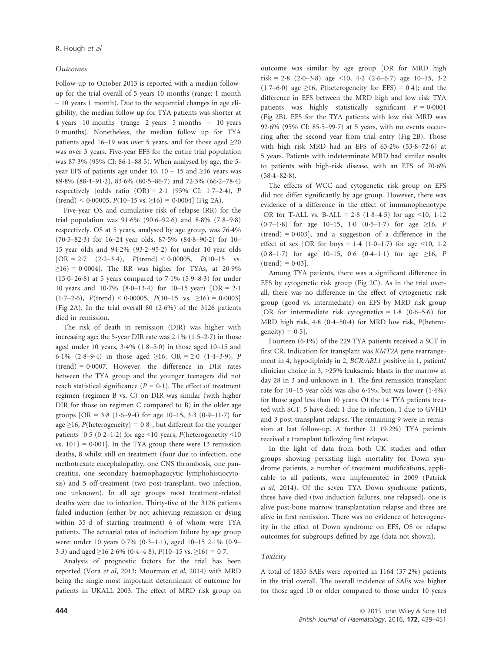#### Outcomes

Follow-up to October 2013 is reported with a median followup for the trial overall of 5 years 10 months (range: 1 month – 10 years 1 month). Due to the sequential changes in age eligibility, the median follow up for TYA patients was shorter at 4 years 10 months (range 2 years 5 months – 10 years 0 months). Nonetheless, the median follow up for TYA patients aged 16–19 was over 5 years, and for those aged  $\geq$ 20 was over 3 years. Five-year EFS for the entire trial population was 87.3% (95% CI: 86.1-88.5). When analysed by age, the 5year EFS of patients age under 10,  $10 - 15$  and  $\geq 16$  years was 898% (884–912), 836% (805–867) and 723% (662–784) respectively [odds ratio  $(OR) = 2.1$  (95% CI: 1.7–2.4), P  $(trend) < 0.00005$ ,  $P(10-15 \text{ vs. } \ge 16) = 0.0004$  (Fig 2A).

Five-year OS and cumulative risk of relapse (RR) for the trial population was  $91.6\%$  (90.6–92.6) and  $8.8\%$  (7.8–9.8) respectively. OS at 5 years, analysed by age group, was 764% (705–823) for 16–24 year olds, 875% (848–902) for 10– 15 year olds and 942% (932–952) for under 10 year olds  $[OR = 2.7 \quad (2.2-3.4), \quad P(\text{trend}) < 0.00005, \quad P(10-15 \quad \text{vs.})$  $\geq$ 16) = 0.0004]. The RR was higher for TYAs, at 20.9% (15.0–26.8) at 5 years compared to  $7.1\%$  (5.9–8.3) for under 10 years and  $10.7\%$  (8.0–13.4) for 10–15 year) [OR = 2.1  $(1.7–2.6)$ ,  $P(\text{trend}) < 0.00005$ ,  $P(10–15 \text{ vs. } \ge 16) = 0.0003$ (Fig 2A). In the trial overall 80 (26%) of the 3126 patients died in remission.

The risk of death in remission (DIR) was higher with increasing age: the 5-year DIR rate was  $2.1\%$  ( $1.5-2.7$ ) in those aged under 10 years,  $3.4\%$  (1.8–5.0) in those aged 10–15 and 6.1% (2.8–9.4) in those aged  $\geq 16$ , OR = 2.0 (1.4–3.9), P  $(trend) = 0.0007$ . However, the difference in DIR rates between the TYA group and the younger teenagers did not reach statistical significance ( $P = 0.1$ ). The effect of treatment regimen (regimen B vs. C) on DIR was similar (with higher DIR for those on regimen C compared to B) in the older age groups  $[OR = 3.8 (1.6-9.4)$  for age 10–15, 3.3  $(0.9-11.7)$  for age  $\geq$ 16, P(heterogeneity) = 0.8], but different for the younger patients  $[0.5 (0.2-1.2)$  for age <10 years, P(heterogenetity <10 vs.  $10+) = 0.001$ . In the TYA group there were 13 remission deaths, 8 whilst still on treatment (four due to infection, one methotrexate encephalopathy, one CNS thrombosis, one pancreatitis, one secondary haemophagocytic lymphohistiocytosis) and 5 off-treatment (two post-transplant, two infection, one unknown). In all age groups most treatment-related deaths were due to infection. Thirty-five of the 3126 patients failed induction (either by not achieving remission or dying within 35 d of starting treatment) 6 of whom were TYA patients. The actuarial rates of induction failure by age group were: under 10 years 0.7% (0.3–1.1), aged 10–15 2.1% (0.9– 3.3) and aged  $\geq$ 16 2.6% (0.4–4.8),  $P(10–15 \text{ vs. } \geq 16) = 0.7$ .

Analysis of prognostic factors for the trial has been reported (Vora et al, 2013; Moorman et al, 2014) with MRD being the single most important determinant of outcome for patients in UKALL 2003. The effect of MRD risk group on outcome was similar by age group [OR for MRD high risk = 2.8 (2.0–3.8) age <10, 4.2 (2.6–6.7) age 10–15, 3.2 (1.7–6.0) age  $\geq$ 16, *P*(heterogeneity for EFS) = 0.4]; and the difference in EFS between the MRD high and low risk TYA patients was highly statistically significant  $P = 0.0001$ (Fig 2B). EFS for the TYA patients with low risk MRD was 92.6% (95% CI: 85.5-99.7) at 5 years, with no events occurring after the second year from trial entry (Fig 2B). Those with high risk MRD had an EFS of  $63.2\%$   $(53.8-72.6)$  at 5 years. Patients with indeterminate MRD had similar results to patients with high-risk disease, with an EFS of 706%  $(58.4 - 82.8)$ .

The effects of WCC and cytogenetic risk group on EFS did not differ significantly by age group. However, there was evidence of a difference in the effect of immunophenotype [OR for T-ALL vs. B-ALL = 2.8  $(1.8-4.5)$  for age <10, 1.12  $(0.7-1.8)$  for age 10–15, 1.0  $(0.5-1.7)$  for age ≥16, P  $(trend) = 0.003$ , and a suggestion of a difference in the effect of sex [OR for boys =  $1.4$  ( $1.0-1.7$ ) for age <10,  $1.2$  $(0.8-1.7)$  for age 10–15, 0.6  $(0.4-1.1)$  for age ≥16, P  $(trend) = 0.03$ ].

Among TYA patients, there was a significant difference in EFS by cytogenetic risk group (Fig 2C). As in the trial overall, there was no difference in the effect of cytogenetic risk group (good vs. intermediate) on EFS by MRD risk group [OR for intermediate risk cytogenetics =  $1.8$  (0.6–5.6) for MRD high risk, 4.8 (0.4-50.4) for MRD low risk, P(hetero $geneity = 0.5$ ].

Fourteen (61%) of the 229 TYA patients received a SCT in first CR. Indication for transplant was KMT2A gene rearrangement in 4, hypodiploidy in 2, BCR:ABL1 positive in 1, patient/ clinician choice in 3, >25% leukaemic blasts in the marrow at day 28 in 3 and unknown in 1. The first remission transplant rate for 10–15 year olds was also 61%, but was lower (14%) for those aged less than 10 years. Of the 14 TYA patients treated with SCT, 5 have died: 1 due to infection, 1 due to GVHD and 3 post-transplant relapse. The remaining 9 were in remission at last follow-up. A further 21 (92%) TYA patients received a transplant following first relapse.

In the light of data from both UK studies and other groups showing persisting high mortality for Down syndrome patients, a number of treatment modifications, applicable to all patients, were implemented in 2009 (Patrick et al, 2014). Of the seven TYA Down syndrome patients, three have died (two induction failures, one relapsed), one is alive post-bone marrow transplantation relapse and three are alive in first remission. There was no evidence of heterogeneity in the effect of Down syndrome on EFS, OS or relapse outcomes for subgroups defined by age (data not shown).

## Toxicity

A total of 1835 SAEs were reported in 1164 (372%) patients in the trial overall. The overall incidence of SAEs was higher for those aged 10 or older compared to those under 10 years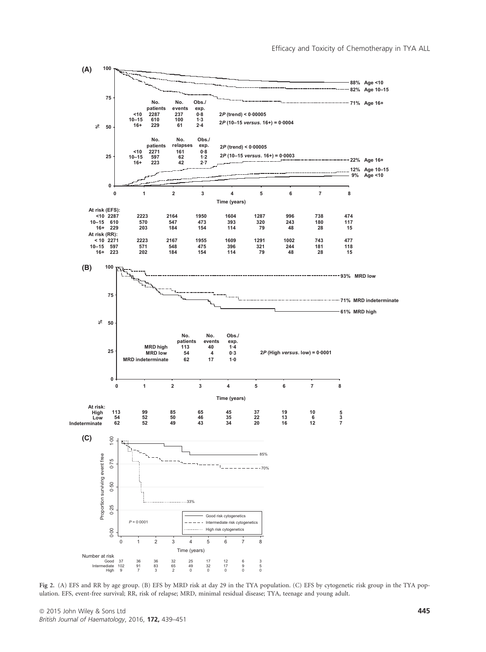

Fig 2. (A) EFS and RR by age group. (B) EFS by MRD risk at day 29 in the TYA population. (C) EFS by cytogenetic risk group in the TYA population. EFS, event-free survival; RR, risk of relapse; MRD, minimal residual disease; TYA, teenage and young adult.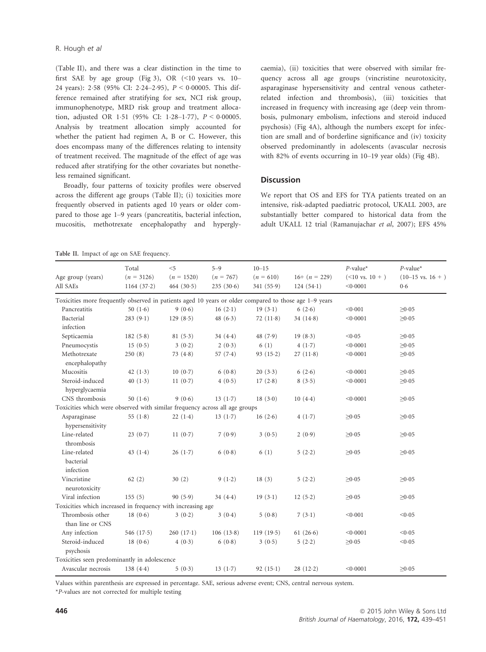(Table II), and there was a clear distinction in the time to first SAE by age group (Fig 3), OR (<10 years vs. 10– 24 years): 2.58 (95% CI: 2.24-2.95),  $P < 0.00005$ . This difference remained after stratifying for sex, NCI risk group, immunophenotype, MRD risk group and treatment allocation, adjusted OR 1.51 (95% CI: 1.28-1.77),  $P < 0.00005$ . Analysis by treatment allocation simply accounted for whether the patient had regimen A, B or C. However, this does encompass many of the differences relating to intensity of treatment received. The magnitude of the effect of age was reduced after stratifying for the other covariates but nonetheless remained significant.

Broadly, four patterns of toxicity profiles were observed across the different age groups (Table II); (i) toxicities more frequently observed in patients aged 10 years or older compared to those age 1–9 years (pancreatitis, bacterial infection, mucositis, methotrexate encephalopathy and hyperglycaemia), (ii) toxicities that were observed with similar frequency across all age groups (vincristine neurotoxicity, asparaginase hypersensitivity and central venous catheterrelated infection and thrombosis), (iii) toxicities that increased in frequency with increasing age (deep vein thrombosis, pulmonary embolism, infections and steroid induced psychosis) (Fig 4A), although the numbers except for infection are small and of borderline significance and (iv) toxicity observed predominantly in adolescents (avascular necrosis with 82% of events occurring in 10–19 year olds) (Fig 4B).

# **Discussion**

We report that OS and EFS for TYA patients treated on an intensive, risk-adapted paediatric protocol, UKALL 2003, are substantially better compared to historical data from the adult UKALL 12 trial (Ramanujachar et al, 2007); EFS 45%

Table II. Impact of age on SAE frequency.

|                                                                                                        | Total        | $<$ 5        | $5 - 9$     | $10 - 15$   |                 | $P$ -value*         | $P$ -value*                  |
|--------------------------------------------------------------------------------------------------------|--------------|--------------|-------------|-------------|-----------------|---------------------|------------------------------|
| Age group (years)                                                                                      | $(n = 3126)$ | $(n = 1520)$ | $(n = 767)$ | $(n = 610)$ | $16+ (n = 229)$ | $(<10$ vs. $10 + )$ | $(10-15 \text{ vs. } 16 + )$ |
| All SAEs                                                                                               | 1164(37.2)   | 464(30.5)    | 235(30.6)   | 341(55.9)   | 124(54.1)       | < 0.0001            | 0.6                          |
| Toxicities more frequently observed in patients aged 10 years or older compared to those age 1–9 years |              |              |             |             |                 |                     |                              |
| Pancreatitis                                                                                           | 50 $(1.6)$   | 9(0.6)       | 16(2.1)     | 19(3.1)     | 6(2.6)          | < 0.001             | $\geq 0.05$                  |
| Bacterial<br>infection                                                                                 | 283(9.1)     | 129(8.5)     | 48 $(6.3)$  | 72 $(11.8)$ | 34(14.8)        | < 0.0001            | $\geq 0.05$                  |
| Septicaemia                                                                                            | 182(5.8)     | 81(5.3)      | 34(4.4)     | 48 $(7.9)$  | 19(8.3)         | < 0.05              | $\geq 0.05$                  |
| Pneumocystis                                                                                           | 15(0.5)      | 3(0.2)       | 2(0.3)      | 6(1)        | 4(1.7)          | < 0.0001            | $\geq 0.05$                  |
| Methotrexate<br>encephalopathy                                                                         | 250(8)       | 73 $(4.8)$   | 57 $(7.4)$  | 93 $(15.2)$ | 27(11.8)        | < 0.0001            | $\geq 0.05$                  |
| Mucositis                                                                                              | 42 $(1.3)$   | 10(0.7)      | 6(0.8)      | 20(3.3)     | 6(2.6)          | < 0.0001            | $\geq 0.05$                  |
| Steroid-induced<br>hyperglycaemia                                                                      | 40(1.3)      | 11(0.7)      | 4(0.5)      | 17(2.8)     | 8(3.5)          | < 0.0001            | $\geq 0.05$                  |
| CNS thrombosis                                                                                         | 50 $(1.6)$   | 9(0.6)       | 13(1.7)     | 18(3.0)     | 10(4.4)         | < 0.0001            | $\geq 0.05$                  |
| Toxicities which were observed with similar frequency across all age groups                            |              |              |             |             |                 |                     |                              |
| Asparaginase<br>hypersensitivity                                                                       | 55 $(1.8)$   | 22(1.4)      | 13(1.7)     | 16(2.6)     | 4(1.7)          | $\geq 0.05$         | $\geq 0.05$                  |
| Line-related<br>thrombosis                                                                             | 23(0.7)      | 11(0.7)      | 7(0.9)      | 3(0.5)      | 2(0.9)          | $\geq 0.05$         | $\geq 0.05$                  |
| Line-related<br>bacterial<br>infection                                                                 | 43 $(1.4)$   | 26(1.7)      | 6(0.8)      | 6(1)        | 5(2.2)          | $\geq 0.05$         | $\geq 0.05$                  |
| Vincristine<br>neurotoxicity                                                                           | 62(2)        | 30(2)        | 9(1.2)      | 18(3)       | 5(2.2)          | $\geq 0.05$         | $\geq 0.05$                  |
| Viral infection                                                                                        | 155(5)       | 90(5.9)      | 34(4.4)     | 19(3.1)     | 12(5.2)         | $\geq 0.05$         | $\geq 0.05$                  |
| Toxicities which increased in frequency with increasing age                                            |              |              |             |             |                 |                     |                              |
| Thrombosis other<br>than line or CNS                                                                   | 18(0.6)      | 3(0.2)       | 3(0.4)      | 5(0.8)      | 7(3.1)          | < 0.001             | < 0.05                       |
| Any infection                                                                                          | 546 $(17.5)$ | $260(17-1)$  | 106(13.8)   | 119(19.5)   | 61(26.6)        | < 0.0001            | < 0.05                       |
| Steroid-induced<br>psychosis                                                                           | 18(0.6)      | 4(0.3)       | 6(0.8)      | 3(0.5)      | 5(2.2)          | $\geq 0.05$         | < 0.05                       |
| Toxicities seen predominantly in adolescence                                                           |              |              |             |             |                 |                     |                              |
| Avascular necrosis                                                                                     | 138(4.4)     | 5(0.3)       | 13(1.7)     | 92(15.1)    | 28(12.2)        | < 0.0001            | $\geq 0.05$                  |

Values within parenthesis are expressed in percentage. SAE, serious adverse event; CNS, central nervous system.

\*P-values are not corrected for multiple testing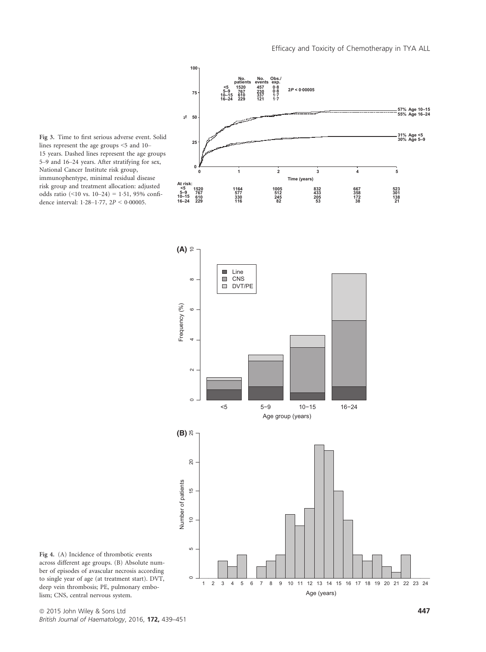

![](_page_8_Figure_2.jpeg)

Fig 4. (A) Incidence of thrombotic events across different age groups. (B) Absolute number of episodes of avascular necrosis according to single year of age (at treatment start). DVT, deep vein thrombosis; PE, pulmonary embolism; CNS, central nervous system.

 $\degree$  2015 John Wiley & Sons Ltd 447 British Journal of Haematology, 2016, 172, 439–451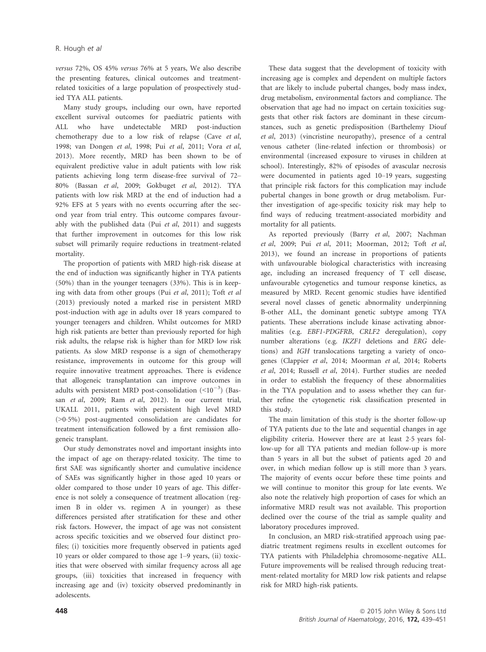versus 72%, OS 45% versus 76% at 5 years, We also describe the presenting features, clinical outcomes and treatmentrelated toxicities of a large population of prospectively studied TYA ALL patients.

Many study groups, including our own, have reported excellent survival outcomes for paediatric patients with ALL who have undetectable MRD post-induction chemotherapy due to a low risk of relapse (Cave et al, 1998; van Dongen et al, 1998; Pui et al, 2011; Vora et al, 2013). More recently, MRD has been shown to be of equivalent predictive value in adult patients with low risk patients achieving long term disease-free survival of 72– 80% (Bassan et al, 2009; Gokbuget et al, 2012). TYA patients with low risk MRD at the end of induction had a 92% EFS at 5 years with no events occurring after the second year from trial entry. This outcome compares favourably with the published data (Pui et al, 2011) and suggests that further improvement in outcomes for this low risk subset will primarily require reductions in treatment-related mortality.

The proportion of patients with MRD high-risk disease at the end of induction was significantly higher in TYA patients (50%) than in the younger teenagers (33%). This is in keeping with data from other groups (Pui et al, 2011); Toft et al (2013) previously noted a marked rise in persistent MRD post-induction with age in adults over 18 years compared to younger teenagers and children. Whilst outcomes for MRD high risk patients are better than previously reported for high risk adults, the relapse risk is higher than for MRD low risk patients. As slow MRD response is a sign of chemotherapy resistance, improvements in outcome for this group will require innovative treatment approaches. There is evidence that allogeneic transplantation can improve outcomes in adults with persistent MRD post-consolidation  $(<10^{-3})$  (Bassan et al, 2009; Ram et al, 2012). In our current trial, UKALL 2011, patients with persistent high level MRD (>05%) post-augmented consolidation are candidates for treatment intensification followed by a first remission allogeneic transplant.

Our study demonstrates novel and important insights into the impact of age on therapy-related toxicity. The time to first SAE was significantly shorter and cumulative incidence of SAEs was significantly higher in those aged 10 years or older compared to those under 10 years of age. This difference is not solely a consequence of treatment allocation (regimen B in older vs. regimen A in younger) as these differences persisted after stratification for these and other risk factors. However, the impact of age was not consistent across specific toxicities and we observed four distinct profiles; (i) toxicities more frequently observed in patients aged 10 years or older compared to those age 1–9 years, (ii) toxicities that were observed with similar frequency across all age groups, (iii) toxicities that increased in frequency with increasing age and (iv) toxicity observed predominantly in adolescents.

These data suggest that the development of toxicity with increasing age is complex and dependent on multiple factors that are likely to include pubertal changes, body mass index, drug metabolism, environmental factors and compliance. The observation that age had no impact on certain toxicities suggests that other risk factors are dominant in these circumstances, such as genetic predisposition (Barthelemy Diouf et al, 2013) (vincristine neuropathy), presence of a central venous catheter (line-related infection or thrombosis) or environmental (increased exposure to viruses in children at school). Interestingly, 82% of episodes of avascular necrosis were documented in patients aged 10–19 years, suggesting that principle risk factors for this complication may include pubertal changes in bone growth or drug metabolism. Further investigation of age-specific toxicity risk may help to find ways of reducing treatment-associated morbidity and mortality for all patients.

As reported previously (Barry et al, 2007; Nachman et al, 2009; Pui et al, 2011; Moorman, 2012; Toft et al, 2013), we found an increase in proportions of patients with unfavourable biological characteristics with increasing age, including an increased frequency of T cell disease, unfavourable cytogenetics and tumour response kinetics, as measured by MRD. Recent genomic studies have identified several novel classes of genetic abnormality underpinning B-other ALL, the dominant genetic subtype among TYA patients. These aberrations include kinase activating abnormalities (e.g. EBF1-PDGFRB, CRLF2 deregulation), copy number alterations (e.g. IKZF1 deletions and ERG deletions) and IGH translocations targeting a variety of oncogenes (Clappier et al, 2014; Moorman et al, 2014; Roberts et al, 2014; Russell et al, 2014). Further studies are needed in order to establish the frequency of these abnormalities in the TYA population and to assess whether they can further refine the cytogenetic risk classification presented in this study.

The main limitation of this study is the shorter follow-up of TYA patients due to the late and sequential changes in age eligibility criteria. However there are at least 25 years follow-up for all TYA patients and median follow-up is more than 5 years in all but the subset of patients aged 20 and over, in which median follow up is still more than 3 years. The majority of events occur before these time points and we will continue to monitor this group for late events. We also note the relatively high proportion of cases for which an informative MRD result was not available. This proportion declined over the course of the trial as sample quality and laboratory procedures improved.

In conclusion, an MRD risk-stratified approach using paediatric treatment regimens results in excellent outcomes for TYA patients with Philadelphia chromosome-negative ALL. Future improvements will be realised through reducing treatment-related mortality for MRD low risk patients and relapse risk for MRD high-risk patients.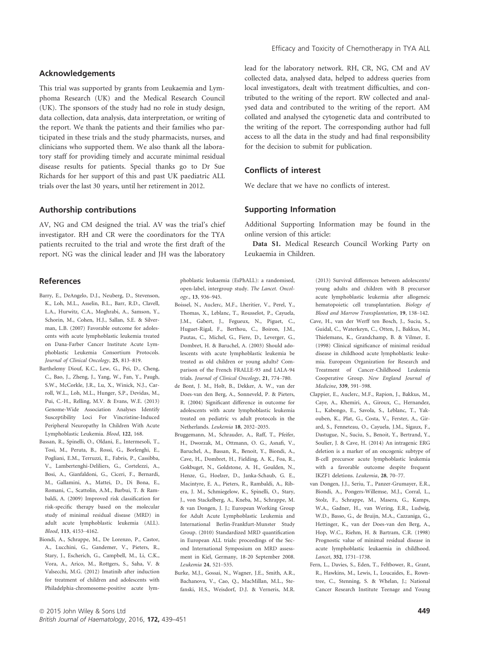## Acknowledgements

This trial was supported by grants from Leukaemia and Lymphoma Research (UK) and the Medical Research Council (UK). The sponsors of the study had no role in study design, data collection, data analysis, data interpretation, or writing of the report. We thank the patients and their families who participated in these trials and the study pharmacists, nurses, and clinicians who supported them. We also thank all the laboratory staff for providing timely and accurate minimal residual disease results for patients. Special thanks go to Dr Sue Richards for her support of this and past UK paediatric ALL trials over the last 30 years, until her retirement in 2012.

## Authorship contributions

AV, NG and CM designed the trial. AV was the trial's chief investigator. RH and CR were the coordinators for the TYA patients recruited to the trial and wrote the first draft of the report. NG was the clinical leader and JH was the laboratory

# References

- Barry, E., DeAngelo, D.J., Neuberg, D., Stevenson, K., Loh, M.L., Asselin, B.L., Barr, R.D., Clavell, L.A., Hurwitz, C.A., Moghrabi, A., Samson, Y., Schorin, M., Cohen, H.J., Sallan, S.E. & Silverman, L.B. (2007) Favorable outcome for adolescents with acute lymphoblastic leukemia treated on Dana-Farber Cancer Institute Acute Lymphoblastic Leukemia Consortium Protocols. Journal of Clinical Oncology, 25, 813–819.
- Barthelemy Diouf, K.C., Lew, G., Pei, D., Cheng, C., Bao, J., Zheng, J., Yang, W., Fan, Y., Paugh, S.W., McCorkle, J.R., Lu, X., Winick, N.J., Carroll, W.L., Loh, M.L., Hunger, S.P., Devidas, M., Pui, C.-H., Relling, M.V. & Evans, W.E. (2013) Genome-Wide Association Analyses Identify Susceptibility Loci For Vincristine-Induced Peripheral Neuropathy In Children With Acute Lymphoblastic Leukemia. Blood, 122, 168.
- Bassan, R., Spinelli, O., Oldani, E., Intermesoli, T., Tosi, M., Peruta, B., Rossi, G., Borlenghi, E., Pogliani, E.M., Terruzzi, E., Fabris, P., Cassibba, V., Lambertenghi-Deliliers, G., Cortelezzi, A., Bosi, A., Gianfaldoni, G., Ciceri, F., Bernardi, M., Gallamini, A., Mattei, D., Di Bona, E., Romani, C., Scattolin, A.M., Barbui, T. & Rambaldi, A. (2009) Improved risk classification for risk-specific therapy based on the molecular study of minimal residual disease (MRD) in adult acute lymphoblastic leukemia (ALL). Blood, 113, 4153–4162.
- Biondi, A., Schrappe, M., De Lorenzo, P., Castor, A., Lucchini, G., Gandemer, V., Pieters, R., Stary, J., Escherich, G., Campbell, M., Li, C.K., Vora, A., Arico, M., Rottgers, S., Saha, V. & Valsecchi, M.G. (2012) Imatinib after induction for treatment of children and adolescents with Philadelphia-chromosome-positive acute lym-

lead for the laboratory network. RH, CR, NG, CM and AV collected data, analysed data, helped to address queries from local investigators, dealt with treatment difficulties, and contributed to the writing of the report. RW collected and analysed data and contributed to the writing of the report. AM collated and analysed the cytogenetic data and contributed to the writing of the report. The corresponding author had full access to all the data in the study and had final responsibility for the decision to submit for publication.

# Conflicts of interest

We declare that we have no conflicts of interest.

# Supporting Information

Additional Supporting Information may be found in the online version of this article:

Data S1. Medical Research Council Working Party on Leukaemia in Children.

phoblastic leukaemia (EsPhALL): a randomised, open-label, intergroup study. The Lancet. Oncology., 13, 936–945.

- Boissel, N., Auclerc, M.F., Lheritier, V., Perel, Y., Thomas, X., Leblanc, T., Rousselot, P., Cayuela, J.M., Gabert, J., Fegueux, N., Piguet, C., Huguet-Rigal, F., Berthou, C., Boiron, J.M., Pautas, C., Michel, G., Fiere, D., Leverger, G., Dombret, H. & Baruchel, A. (2003) Should adolescents with acute lymphoblastic leukemia be treated as old children or young adults? Comparison of the French FRALLE-93 and LALA-94 trials. Journal of Clinical Oncology, 21, 774–780.
- de Bont, J. M., Holt, B., Dekker, A. W., van der Does-van den Berg, A., Sonneveld, P. & Pieters, R. (2004) Significant difference in outcome for adolescents with acute lymphoblastic leukemia treated on pediatric vs adult protocols in the Netherlands. Leukemia 18, 2032–2035.
- Bruggemann, M., Schrauder, A., Raff, T., Pfeifer, H., Dworzak, M., Ottmann, O. G., Asnafi, V., Baruchel, A., Bassan, R., Benoit, Y., Biondi, A., Cave, H., Dombret, H., Fielding, A. K., Foa, R., Gokbuget, N., Goldstone, A. H., Goulden, N., Henze, G., Hoelzer, D., Janka-Schaub, G. E., Macintyre, E. A., Pieters, R., Rambaldi, A., Ribera, J. M., Schmiegelow, K., Spinelli, O., Stary, J., von Stackelberg, A., Kneba, M., Schrappe, M. & van Dongen, J. J.; European Working Group for Adult Acute Lymphoblastic Leukemia and International Berlin-Frankfurt-Munster Study Group. (2010) Standardized MRD quantification in European ALL trials: proceedings of the Second International Symposium on MRD assessment in Kiel, Germany, 18-20 September 2008. Leukemia 24, 521–535.
- Burke, M.J., Gossai, N., Wagner, J.E., Smith, A.R., Bachanova, V., Cao, Q., MacMillan, M.L., Stefanski, H.S., Weisdorf, D.J. & Verneris, M.R.

(2013) Survival differences between adolescents/ young adults and children with B precursor acute lymphoblastic leukemia after allogeneic hematopoietic cell transplantation. Biology of Blood and Marrow Transplantation, 19, 138–142.

- Cave, H., van der Werff ten Bosch, J., Suciu, S., Guidal, C., Waterkeyn, C., Otten, J., Bakkus, M., Thielemans, K., Grandchamp, B. & Vilmer, E. (1998) Clinical significance of minimal residual disease in childhood acute lymphoblastic leukemia. European Organization for Research and Treatment of Cancer-Childhood Leukemia Cooperative Group. New England Journal of Medicine, 339, 591–598.
- Clappier, E., Auclerc, M.F., Rapion, J., Bakkus, M., Caye, A., Khemiri, A., Giroux, C., Hernandez, L., Kabongo, E., Savola, S., Leblanc, T., Yakouben, K., Plat, G., Costa, V., Ferster, A., Girard, S., Fenneteau, O., Cayuela, J.M., Sigaux, F., Dastugue, N., Suciu, S., Benoit, Y., Bertrand, Y., Soulier, J. & Cave, H. (2014) An intragenic ERG deletion is a marker of an oncogenic subtype of B-cell precursor acute lymphoblastic leukemia with a favorable outcome despite frequent IKZF1 deletions. Leukemia, 28, 70–77.
- van Dongen, J.J., Seriu, T., Panzer-Grumayer, E.R., Biondi, A., Pongers-Willemse, M.J., Corral, L., Stolz, F., Schrappe, M., Masera, G., Kamps, W.A., Gadner, H., van Wering, E.R., Ludwig, W.D., Basso, G., de Bruijn, M.A., Cazzaniga, G., Hettinger, K., van der Does-van den Berg, A., Hop, W.C., Riehm, H. & Bartram, C.R. (1998) Prognostic value of minimal residual disease in acute lymphoblastic leukaemia in childhood. Lancet, 352, 1731–1738.
- Fern, L., Davies, S., Eden, T., Feltbower, R., Grant, R., Hawkins, M., Lewis, I., Loucaides, E., Rowntree, C., Stenning, S. & Whelan, J.; National Cancer Research Institute Teenage and Young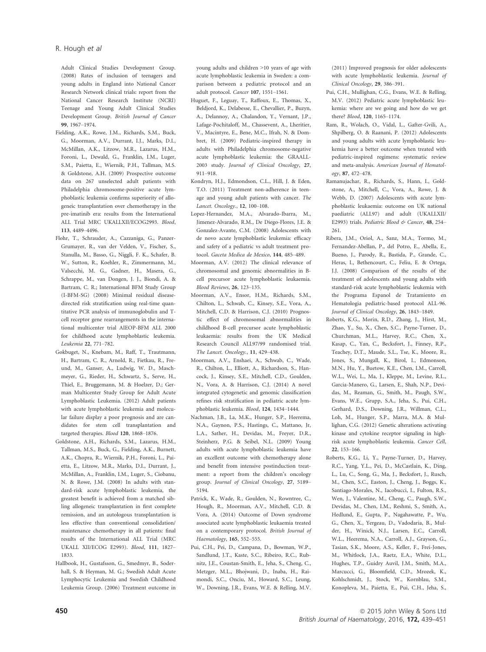Adult Clinical Studies Development Group. (2008) Rates of inclusion of teenagers and young adults in England into National Cancer Research Network clinical trials: report from the National Cancer Research Institute (NCRI) Teenage and Young Adult Clinical Studies Development Group. British Journal of Cancer 99, 1967–1974.

- Fielding, A.K., Rowe, J.M., Richards, S.M., Buck, G., Moorman, A.V., Durrant, I.J., Marks, D.I., McMillan, A.K., Litzow, M.R., Lazarus, H.M., Foroni, L., Dewald, G., Franklin, I.M., Luger, S.M., Paietta, E., Wiernik, P.H., Tallman, M.S. & Goldstone, A.H. (2009) Prospective outcome data on 267 unselected adult patients with Philadelphia chromosome-positive acute lymphoblastic leukemia confirms superiority of allogeneic transplantation over chemotherapy in the pre-imatinib era: results from the International ALL Trial MRC UKALLXII/ECOG2993. Blood, 113, 4489–4496.
- Flohr, T., Schrauder, A., Cazzaniga, G., Panzer-Grumayer, R., van der Velden, V., Fischer, S. Stanulla, M., Basso, G., Niggli, F. K., Schafer, B. W., Sutton, R., Koehler, R., Zimmermann, M., Valsecchi, M. G., Gadner, H., Masera, G., Schrappe, M., van Dongen, J. J., Biondi, A. & Bartram, C. R.; International BFM Study Group (I-BFM-SG) (2008) Minimal residual diseasedirected risk stratification using real-time quantitative PCR analysis of immunoglobulin and Tcell receptor gene rearrangements in the international multicenter trial AIEOP-BFM ALL 2000 for childhood acute lymphoblastic leukemia. Leukemia 22, 771–782.
- Gokbuget, N., Knebam, M., Raff, T., Trautmann, H., Bartram, C. R., Arnold, R., Fietkau, R., Freund, M., Ganser, A., Ludwig, W. D., Maschmeyer, G., Rieder, H., Schwartz, S., Serve, H., Thiel, E., Bruggemann, M. & Hoelzer, D.; German Multicenter Study Group for Adult Acute Lymphoblastic Leukemia. (2012) Adult patients with acute lymphoblastic leukemia and molecular failure display a poor prognosis and are candidates for stem cell transplantation and targeted therapies. Blood 120, 1868–1876.
- Goldstone, A.H., Richards, S.M., Lazarus, H.M., Tallman, M.S., Buck, G., Fielding, A.K., Burnett, A.K., Chopra, R., Wiernik, P.H., Foroni, L., Paietta, E., Litzow, M.R., Marks, D.I., Durrant, J., McMillan, A., Franklin, I.M., Luger, S., Ciobanu, N. & Rowe, J.M. (2008) In adults with standard-risk acute lymphoblastic leukemia, the greatest benefit is achieved from a matched sibling allogeneic transplantation in first complete remission, and an autologous transplantation is less effective than conventional consolidation/ maintenance chemotherapy in all patients: final results of the International ALL Trial (MRC UKALL XII/ECOG E2993). Blood, 111, 1827– 1833.
- Hallbook, H., Gustafsson, G., Smedmyr, B., Soderhall, S. & Heyman, M. G.; Swedish Adult Acute Lymphocytic Leukemia and Swedish Childhood Leukemia Group. (2006) Treatment outcome in

young adults and children >10 years of age with acute lymphoblastic leukemia in Sweden: a comparison between a pediatric protocol and an adult protocol. Cancer 107, 1551–1561.

- Huguet, F., Leguay, T., Raffoux, E., Thomas, X., Beldjord, K., Delabesse, E., Chevallier, P., Buzyn, A., Delannoy, A., Chalandon, Y., Vernant, J.P., Lafage-Pochitaloff, M., Chassevent, A., Lheritier, V., Macintyre, E., Bene, M.C., Ifrah, N. & Dombret, H. (2009) Pediatric-inspired therapy in adults with Philadelphia chromosome-negative acute lymphoblastic leukemia: the GRAALL-2003 study. Journal of Clinical Oncology, 27, 911–918.
- Kondryn, H.J., Edmondson, C.L., Hill, J. & Eden, T.O. (2011) Treatment non-adherence in teenage and young adult patients with cancer. The Lancet. Oncology., 12, 100–108.
- Lopez-Hernandez, M.A., Alvarado-Ibarra, M., Jimenez-Alvarado, R.M., De Diego-Flores, J.E. & Gonzalez-Avante, C.M. (2008) Adolescents with de novo acute lymphoblastic leukemia: efficacy and safety of a pediatric vs adult treatment protocol. Gaceta Medica de Mexico, 144, 485–489.
- Moorman, A.V. (2012) The clinical relevance of chromosomal and genomic abnormalities in Bcell precursor acute lymphoblastic leukaemia. Blood Reviews, 26, 123–135.
- Moorman, A.V., Ensor, H.M., Richards, S.M., Chilton, L., Schwab, C., Kinsey, S.E., Vora, A., Mitchell, C.D. & Harrison, C.J. (2010) Prognostic effect of chromosomal abnormalities in childhood B-cell precursor acute lymphoblastic leukaemia: results from the UK Medical Research Council ALL97/99 randomised trial. The Lancet. Oncology., 11, 429–438.
- Moorman, A.V., Enshaei, A., Schwab, C., Wade, R., Chilton, L., Elliott, A., Richardson, S., Hancock, J., Kinsey, S.E., Mitchell, C.D., Goulden, N., Vora, A. & Harrison, C.J. (2014) A novel integrated cytogenetic and genomic classification refines risk stratification in pediatric acute lymphoblastic leukemia. Blood, 124, 1434–1444.
- Nachman, J.B., La, M.K., Hunger, S.P., Heerema, N.A., Gaynon, P.S., Hastings, C., Mattano, Jr, L.A., Sather, H., Devidas, M., Freyer, D.R., Steinherz, P.G. & Seibel, N.L. (2009) Young adults with acute lymphoblastic leukemia have an excellent outcome with chemotherapy alone and benefit from intensive postinduction treatment: a report from the children's oncology group. Journal of Clinical Oncology, 27, 5189– 5194.
- Patrick, K., Wade, R., Goulden, N., Rowntree, C., Hough, R., Moorman, A.V., Mitchell, C.D. & Vora, A. (2014) Outcome of Down syndrome associated acute lymphoblastic leukaemia treated on a contemporary protocol. British Journal of Haematology, 165, 552–555.
- Pui, C.H., Pei, D., Campana, D., Bowman, W.P., Sandlund, J.T., Kaste, S.C., Ribeiro, R.C., Rubnitz, J.E., Coustan-Smith, E., Jeha, S., Cheng, C., Metzger, M.L., Bhojwani, D., Inaba, H., Raimondi, S.C., Onciu, M., Howard, S.C., Leung, W., Downing, J.R., Evans, W.E. & Relling, M.V.

(2011) Improved prognosis for older adolescents with acute lymphoblastic leukemia. Journal of Clinical Oncology, 29, 386–391.

- Pui, C.H., Mullighan, C.G., Evans, W.E. & Relling, M.V. (2012) Pediatric acute lymphoblastic leukemia: where are we going and how do we get there? Blood, 120, 1165–1174.
- Ram, R., Wolach, O., Vidal, L., Gafter-Gvili, A., Shpilberg, O. & Raanani, P. (2012) Adolescents and young adults with acute lymphoblastic leukemia have a better outcome when treated with pediatric-inspired regimens: systematic review and meta-analysis. American Journal of Hematology, 87, 472–478.
- Ramanujachar, R., Richards, S., Hann, I., Goldstone, A., Mitchell, C., Vora, A., Rowe, J. & Webb, D. (2007) Adolescents with acute lymphoblastic leukaemia: outcome on UK national paediatric (ALL97) and adult (UKALLXII/ E2993) trials. Pediatric Blood & Cancer, 48, 254– 261.
- Ribera, J.M., Oriol, A., Sanz, M.A., Tormo, M., Fernandez-Abellan, P., del Potro, E., Abella, E., Bueno, J., Parody, R., Bastida, P., Grande, C., Heras, I., Bethencourt, C., Feliu, E. & Ortega, J.J. (2008) Comparison of the results of the treatment of adolescents and young adults with standard-risk acute lymphoblastic leukemia with the Programa Espanol de Tratamiento en Hematologia pediatric-based protocol ALL-96. Journal of Clinical Oncology, 26, 1843–1849.
- Roberts, K.G., Morin, R.D., Zhang, J., Hirst, M., Zhao, Y., Su, X., Chen, S.C., Payne-Turner, D., Churchman, M.L., Harvey, R.C., Chen, X., Kasap, C., Yan, C., Becksfort, J., Finney, R.P., Teachey, D.T., Maude, S.L., Tse, K., Moore, R., Jones, S., Mungall, K., Birol, I., Edmonson, M.N., Hu, Y., Buetow, K.E., Chen, I.M., Carroll, W.L., Wei, L., Ma, J., Kleppe, M., Levine, R.L., Garcia-Manero, G., Larsen, E., Shah, N.P., Devidas, M., Reaman, G., Smith, M., Paugh, S.W., Evans, W.E., Grupp, S.A., Jeha, S., Pui, C.H., Gerhard, D.S., Downing, J.R., Willman, C.L., Loh, M., Hunger, S.P., Marra, M.A. & Mullighan, C.G. (2012) Genetic alterations activating kinase and cytokine receptor signaling in highrisk acute lymphoblastic leukemia. Cancer Cell, 22, 153–166.
- Roberts, K.G., Li, Y., Payne-Turner, D., Harvey, R.C., Yang, Y.L., Pei, D., McCastlain, K., Ding, L., Lu, C., Song, G., Ma, J., Becksfort, J., Rusch, M., Chen, S.C., Easton, J., Cheng, J., Boggs, K., Santiago-Morales, N., Iacobucci, I., Fulton, R.S., Wen, J., Valentine, M., Cheng, C., Paugh, S.W., Devidas, M., Chen, I.M., Reshmi, S., Smith, A., Hedlund, E., Gupta, P., Nagahawatte, P., Wu, G., Chen, X., Yergeau, D., Vadodaria, B., Mulder, H., Winick, N.J., Larsen, E.C., Carroll, W.L., Heerema, N.A., Carroll, A.J., Grayson, G., Tasian, S.K., Moore, A.S., Keller, F., Frei-Jones, M., Whitlock, J.A., Raetz, E.A., White, D.L., Hughes, T.P., Guidry Auvil, J.M., Smith, M.A., Marcucci, G., Bloomfield, C.D., Mrozek, K., Kohlschmidt, J., Stock, W., Kornblau, S.M., Konopleva, M., Paietta, E., Pui, C.H., Jeha, S.,